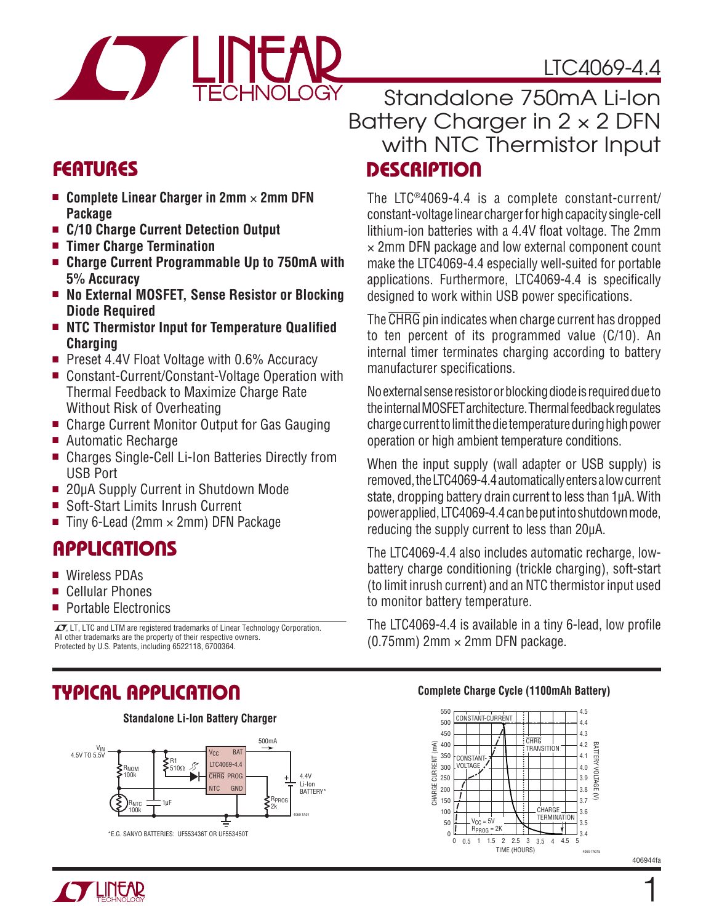## LTC4069-4.4



## **DESCRIPTION** Standalone 750mA Li-Ion Battery Charger in 2 × 2 DFN with NTC Thermistor Input

The LTC®4069-4.4 is a complete constant-current/ constant-voltage linear charger for high capacity single-cell lithium-ion batteries with a 4.4V float voltage. The 2mm  $\times$  2mm DFN package and low external component count make the LTC4069-4.4 especially well-suited for portable applications. Furthermore, LTC4069-4.4 is specifically designed to work within USB power specifications.

The CHRG pin indicates when charge current has dropped to ten percent of its programmed value (C/10). An internal timer terminates charging according to battery

No external sense resistor or blocking diode is required due to the internal MOSFET architecture. Thermal feedback regulates charge current to limit the die temperature during high power

When the input supply (wall adapter or USB supply) is removed, the LTC4069-4.4 automatically enters a low current state, dropping battery drain current to less than 1μA. With power applied, LTC4069-4.4 can be put into shutdown mode,

The LTC4069-4.4 also includes automatic recharge, lowbattery charge conditioning (trickle charging), soft-start (to limit inrush current) and an NTC thermistor input used

The LTC4069-4.4 is available in a tiny 6-lead, low profile

operation or high ambient temperature conditions.

reducing the supply current to less than 20μA.

to monitor battery temperature.

(0.75mm)  $2 \text{mm} \times 2 \text{mm}$  DFN package.

manufacturer specifications.

## **FEATURES**

- Complete Linear Charger in 2mm × 2mm DFN **Package**
- <sup>n</sup> **C/10 Charge Current Detection Output**
- <sup>n</sup> **Timer Charge Termination**
- Charge Current Programmable Up to 750mA with  **5% Accuracy**
- No External MOSFET, Sense Resistor or Blocking  **Diode Required**
- NTC Thermistor Input for Temperature Qualified  **Charging**
- Preset 4.4V Float Voltage with 0.6% Accuracy
- Constant-Current/Constant-Voltage Operation with Thermal Feedback to Maximize Charge Rate Without Risk of Overheating
- Charge Current Monitor Output for Gas Gauging
- Automatic Recharge
- Charges Single-Cell Li-Ion Batteries Directly from USB Port
- 20µA Supply Current in Shutdown Mode
- Soft-Start Limits Inrush Current
- Tiny 6-Lead (2mm  $\times$  2mm) DFN Package

## **APPLICATIONS**

- Wireless PDAs
- Cellular Phones
- **Portable Electronics**

 $\sqrt{J}$ , LT, LTC and LTM are registered trademarks of Linear Technology Corporation. All other trademarks are the property of their respective owners. Protected by U.S. Patents, including 6522118, 6700364.

## **TYPICAL APPLICATION**

#### **Standalone Li-Ion Battery Charger**



#### **Complete Charge Cycle (1100mAh Battery)**



406944fa



1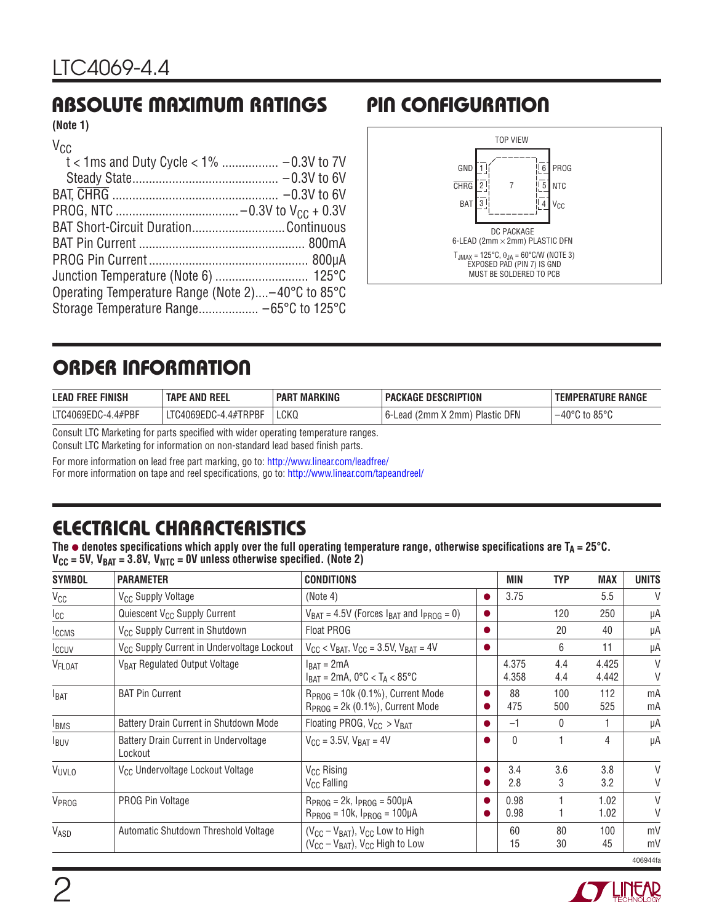## **ABSOLUTE MAXIMUM RATINGS PIN CONFIGURATION**

**(Note 1)**

| $V_{CC}$                                          |  |
|---------------------------------------------------|--|
|                                                   |  |
|                                                   |  |
|                                                   |  |
|                                                   |  |
| BAT Short-Circuit DurationContinuous              |  |
|                                                   |  |
|                                                   |  |
|                                                   |  |
| Operating Temperature Range (Note 2)–40°C to 85°C |  |
|                                                   |  |



## **ORDER INFORMATION**

| E FINISH<br><b>LEAD FREE</b> | <b>TAPE AND REEL</b> | <b>MARKING</b><br><b>PAR</b> | <b>PACKAGE DESCRIPTION</b>                       | RANGE<br><b>EMPERATURE</b>         |
|------------------------------|----------------------|------------------------------|--------------------------------------------------|------------------------------------|
| LTC4069EDC-4.4#PBF           | LTC4069EDC-4.4#TRPBF | LCKQ                         | <b>Plastic DFN</b><br>$(2mm \times 2mm)$<br>∟ead | $-40^{\circ}$ C to 85 $^{\circ}$ C |

Consult LTC Marketing for parts specified with wider operating temperature ranges.

Consult LTC Marketing for information on non-standard lead based finish parts.

For more information on lead free part marking, go to: http://www.linear.com/leadfree/

For more information on tape and reel specifications, go to: http://www.linear.com/tapeandreel/

## **ELECTRICAL CHARACTERISTICS**

The  $\bullet$  denotes specifications which apply over the full operating temperature range, otherwise specifications are  $T_A = 25^{\circ}C$ .  $V_{\text{CC}}$  = 5V,  $V_{\text{BAT}}$  = 3.8V,  $V_{\text{NTC}}$  = 0V unless otherwise specified. (Note 2)

| <b>SYMBOL</b>      | <b>PARAMETER</b>                                       | <b>CONDITIONS</b>                                                                          |           | MIN            | <b>TYP</b>   | <b>MAX</b>     | <b>UNITS</b>     |
|--------------------|--------------------------------------------------------|--------------------------------------------------------------------------------------------|-----------|----------------|--------------|----------------|------------------|
| $V_{CC}$           | V <sub>CC</sub> Supply Voltage                         | (Note 4)                                                                                   |           | 3.75           |              | 5.5            | V                |
| $_{\rm{ICC}}$      | Quiescent V <sub>CC</sub> Supply Current               | $V_{BAT} = 4.5V$ (Forces $I_{BAT}$ and $I_{PROG} = 0$ )                                    |           |                | 120          | 250            | μA               |
| <b>ICCMS</b>       | V <sub>CC</sub> Supply Current in Shutdown             | <b>Float PROG</b>                                                                          | $\bullet$ |                | 20           | 40             | μA               |
| Iccuv              | V <sub>CC</sub> Supply Current in Undervoltage Lockout | $V_{CC}$ < $V_{BAT}$ , $V_{CC}$ = 3.5V, $V_{BAT}$ = 4V                                     |           |                | 6            | 11             | μA               |
| V <sub>FLOAT</sub> | V <sub>BAT</sub> Regulated Output Voltage              | $I_{BAT} = 2mA$<br>$I_{BAT}$ = 2mA, 0°C < T <sub>A</sub> < 85°C                            |           | 4.375<br>4.358 | 4.4<br>4.4   | 4.425<br>4.442 | $\vee$<br>V      |
| I <sub>BAT</sub>   | <b>BAT Pin Current</b>                                 | $R_{PROG}$ = 10k (0.1%), Current Mode<br>$R_{PROG} = 2k (0.1\%)$ , Current Mode            |           | 88<br>475      | 100<br>500   | 112<br>525     | mA<br>mA         |
| <b>IBMS</b>        | Battery Drain Current in Shutdown Mode                 | Floating PROG, $V_{CC} > V_{BAT}$                                                          |           | $-1$           | $\mathbf{0}$ |                | μA               |
| <b>I</b> BUV       | Battery Drain Current in Undervoltage<br>Lockout       | $V_{\text{CC}} = 3.5V$ , $V_{\text{BAT}} = 4V$                                             |           | $\Omega$       |              | 4              | μA               |
| <b>VUVLO</b>       | V <sub>CC</sub> Undervoltage Lockout Voltage           | V <sub>CC</sub> Rising<br>V <sub>CC</sub> Falling                                          |           | 3.4<br>2.8     | 3.6<br>3     | 3.8<br>3.2     | $\vee$<br>V      |
| V <sub>PROG</sub>  | PROG Pin Voltage                                       | $R_{PROG} = 2k$ , $I_{PROG} = 500 \mu A$<br>$R_{PROG} = 10k$ , $I_{PROG} = 100 \mu A$      |           | 0.98<br>0.98   |              | 1.02<br>1.02   | $\vee$<br>$\vee$ |
| VASD               | Automatic Shutdown Threshold Voltage                   | $(V_{CC} - V_{BAT})$ , $V_{CC}$ Low to High<br>$(V_{CC} - V_{BAT})$ , $V_{CC}$ High to Low |           | 60<br>15       | 80<br>30     | 100<br>45      | mV<br>mV         |
|                    |                                                        |                                                                                            |           |                |              |                | 406944fa         |

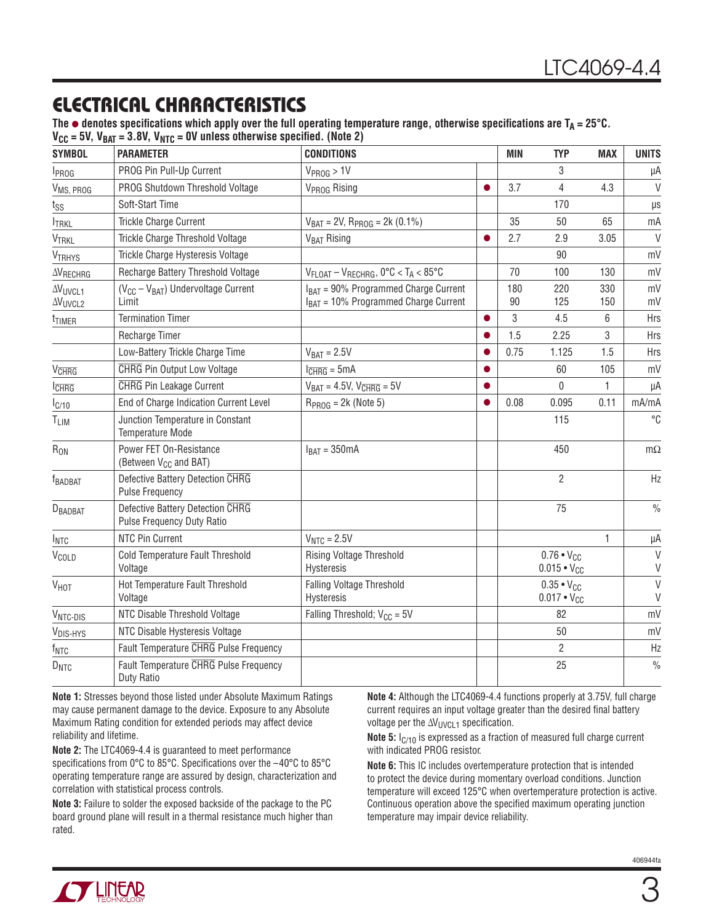## **ELECTRICAL CHARACTERISTICS**

The  $\bullet$  denotes specifications which apply over the full operating temperature range, otherwise specifications are  $T_A = 25^\circ C$ .  $V_{\text{CC}}$  = 5V,  $V_{\text{BAT}}$  = 3.8V,  $V_{\text{NTC}}$  = 0V unless otherwise specified. (Note 2)

| <b>SYMBOL</b>                         | <b>PARAMETER</b>                                               | <b>CONDITIONS</b>                                                                          |           | <b>MIN</b> | <b>TYP</b>                                  | <b>MAX</b> | <b>UNITS</b>     |
|---------------------------------------|----------------------------------------------------------------|--------------------------------------------------------------------------------------------|-----------|------------|---------------------------------------------|------------|------------------|
| <b>I</b> <sub>PROG</sub>              | PROG Pin Pull-Up Current                                       | $V_{PROG}$ > 1V                                                                            |           |            | 3                                           |            | μA               |
| V <sub>MS, PROG</sub>                 | PROG Shutdown Threshold Voltage                                | V <sub>PROG</sub> Rising                                                                   |           | 3.7        | $\overline{4}$                              | 4.3        | $\vee$           |
| $t_{SS}$                              | Soft-Start Time                                                |                                                                                            |           |            | 170                                         |            | $\mu s$          |
| <b>ITRKL</b>                          | Trickle Charge Current                                         | $V_{BAT} = 2V$ , $R_{PROG} = 2k (0.1%)$                                                    |           | 35         | 50                                          | 65         | mA               |
| VTRKL                                 | Trickle Charge Threshold Voltage                               | V <sub>BAT</sub> Rising                                                                    |           | 2.7        | 2.9                                         | 3.05       | $\vee$           |
| <b>VTRHYS</b>                         | Trickle Charge Hysteresis Voltage                              |                                                                                            |           |            | 90                                          |            | mV               |
| $\Delta V_{RECHRG}$                   | Recharge Battery Threshold Voltage                             | $V_{FLOAT} - V_{RECHRG}$ , 0°C < T <sub>A</sub> < 85°C                                     |           | 70         | 100                                         | 130        | mV               |
| <b>AVUVCL1</b><br>AV <sub>UVCL2</sub> | $(V_{CC} - V_{BAT})$ Undervoltage Current<br>Limit             | $IBAT$ = 90% Programmed Charge Current<br>I <sub>BAT</sub> = 10% Programmed Charge Current |           | 180<br>90  | 220<br>125                                  | 330<br>150 | mV<br>mV         |
| t <sub>TIMER</sub>                    | <b>Termination Timer</b>                                       |                                                                                            |           | 3          | 4.5                                         | 6          | Hrs              |
|                                       | Recharge Timer                                                 |                                                                                            | ●         | 1.5        | 2.25                                        | 3          | Hrs              |
|                                       | Low-Battery Trickle Charge Time                                | $V_{BAT} = 2.5V$                                                                           |           | 0.75       | 1.125                                       | 1.5        | <b>Hrs</b>       |
| <b>V<sub>CHRG</sub></b>               | <b>CHRG</b> Pin Output Low Voltage                             | $l_{\overline{CHRG}} = 5mA$                                                                |           |            | 60                                          | 105        | mV               |
| <b>CHRG</b>                           | <b>CHRG</b> Pin Leakage Current                                | $V_{BAT} = 4.5V$ , $V_{CHRG} = 5V$                                                         | $\bullet$ |            | 0                                           | 1.         | μA               |
| $I_{C/10}$                            | End of Charge Indication Current Level                         | $RPROG = 2k$ (Note 5)                                                                      | $\bullet$ | 0.08       | 0.095                                       | 0.11       | mA/mA            |
| T <sub>LIM</sub>                      | Junction Temperature in Constant<br><b>Temperature Mode</b>    |                                                                                            |           |            | 115                                         |            | °C               |
| R <sub>ON</sub>                       | Power FET On-Resistance<br>(Between V <sub>CC</sub> and BAT)   | $I_{BAT} = 350mA$                                                                          |           |            | 450                                         |            | $m\Omega$        |
| <b>FBADBAT</b>                        | Defective Battery Detection CHRG<br><b>Pulse Frequency</b>     |                                                                                            |           |            | $\overline{2}$                              |            | Hz               |
| DBADBAT                               | Defective Battery Detection CHRG<br>Pulse Frequency Duty Ratio |                                                                                            |           |            | 75                                          |            | $\frac{0}{0}$    |
| INTC                                  | NTC Pin Current                                                | $V_{NTC} = 2.5V$                                                                           |           |            |                                             | 1.         | μA               |
| $V_{\text{COLD}}$                     | Cold Temperature Fault Threshold<br>Voltage                    | <b>Rising Voltage Threshold</b><br>Hysteresis                                              |           |            | $0.76 \cdot V_{CC}$<br>$0.015 \cdot V_{CC}$ |            | $\vee$<br>$\vee$ |
| V <sub>HOT</sub>                      | Hot Temperature Fault Threshold<br>Voltage                     | Falling Voltage Threshold<br>Hysteresis                                                    |           |            | $0.35 \cdot V_{CC}$<br>$0.017 \cdot V_{CC}$ |            | $\vee$<br>$\vee$ |
| V <sub>NTC-DIS</sub>                  | NTC Disable Threshold Voltage                                  | Falling Threshold; $V_{CC} = 5V$                                                           |           |            | 82                                          |            | mV               |
| V <sub>DIS-HYS</sub>                  | NTC Disable Hysteresis Voltage                                 |                                                                                            |           |            | 50                                          |            | mV               |
| $f_{\text{NTC}}$                      | Fault Temperature CHRG Pulse Frequency                         |                                                                                            |           |            | $\overline{2}$                              |            | Hz               |
| D <sub>NTC</sub>                      | Fault Temperature CHRG Pulse Frequency<br>Duty Ratio           |                                                                                            |           |            | 25                                          |            | $\frac{0}{0}$    |

**Note 1:** Stresses beyond those listed under Absolute Maximum Ratings may cause permanent damage to the device. Exposure to any Absolute Maximum Rating condition for extended periods may affect device reliability and lifetime.

**Note 2:** The LTC4069-4.4 is guaranteed to meet performance specifications from 0°C to 85°C. Specifications over the  $-40^{\circ}$ C to 85°C operating temperature range are assured by design, characterization and correlation with statistical process controls.

**Note 3:** Failure to solder the exposed backside of the package to the PC board ground plane will result in a thermal resistance much higher than rated.

**Note 4:** Although the LTC4069-4.4 functions properly at 3.75V, full charge current requires an input voltage greater than the desired final battery voltage per the  $\Delta V_{\text{UVCL1}}$  specification.

**Note 5:** I<sub>C/10</sub> is expressed as a fraction of measured full charge current with indicated PROG resistor.

**Note 6:** This IC includes overtemperature protection that is intended to protect the device during momentary overload conditions. Junction temperature will exceed 125°C when overtemperature protection is active. Continuous operation above the specified maximum operating junction temperature may impair device reliability.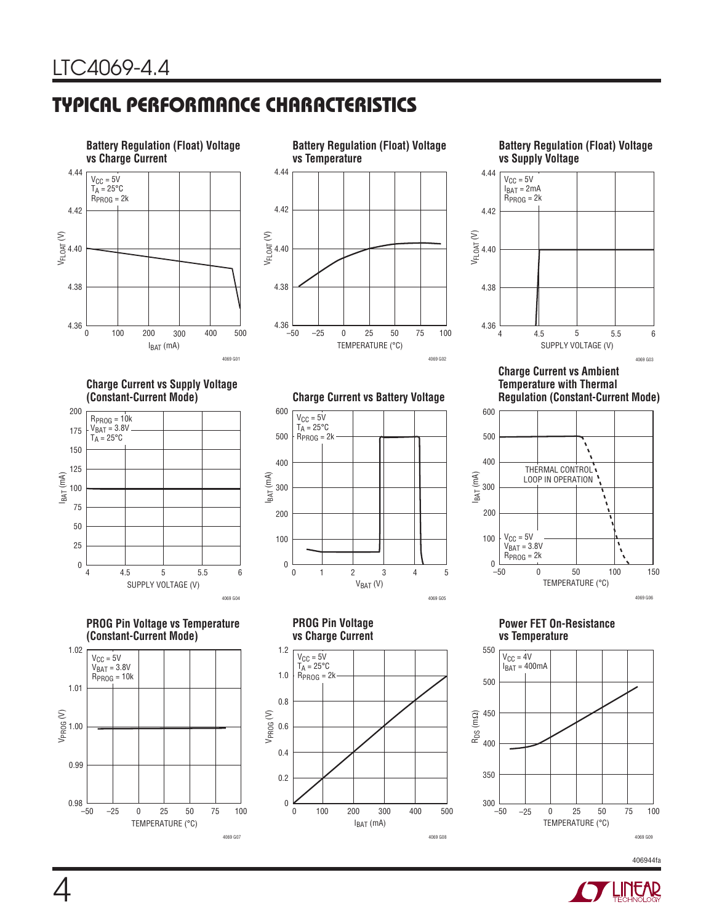## **TYPICAL PERFORMANCE CHARACTERISTICS**



**Charge Current vs Supply Voltage** 

**PROG Pin Voltage vs Temperature**

TEMPERATURE (°C)

25 75

–25 0 50 100

4069 G07

SUPPLY VOLTAGE (V)

4.5 5 5.5 6

4069 G04

**(Constant-Current Mode)**

4 0

RPROG = 10k V<sub>BAT</sub> = 3.8V<br>T<sub>A</sub> = 25°C

IBAT (mA)







### **Charge Current vs Ambient Temperature with Thermal**



**Power FET On-Resistance** 



406944fa

**Regulation (Constant-Current Mode)**

 $V_{BAT} (V)$  $\boldsymbol{0}$  $\overline{0}$ IBAT (mA) 100 200 300 400 500 600 1234 4069 G05 5  $V_{CC} = 5V$  $T_A = 25^{\circ}$ C  $R_{PROG} = 2k$ 

**(Constant-Current Mode) Charge Current vs Battery Voltage**

**PROG Pin Voltage vs Charge Current**



# 4

VPROG (V)

1.01

1.00

0.99

0.98

1.02

 $V_{CC} = 5V$  $V_{BAT} = 3.8V$  $R_{PROG} = 10k$ 

–50

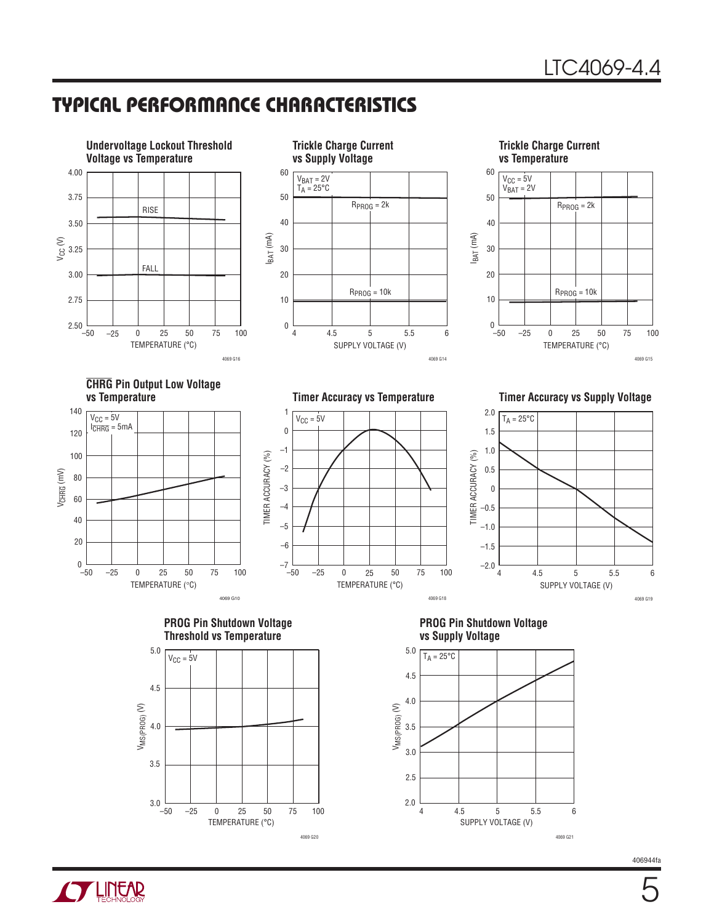## **TYPICAL PERFORMANCE CHARACTERISTICS**

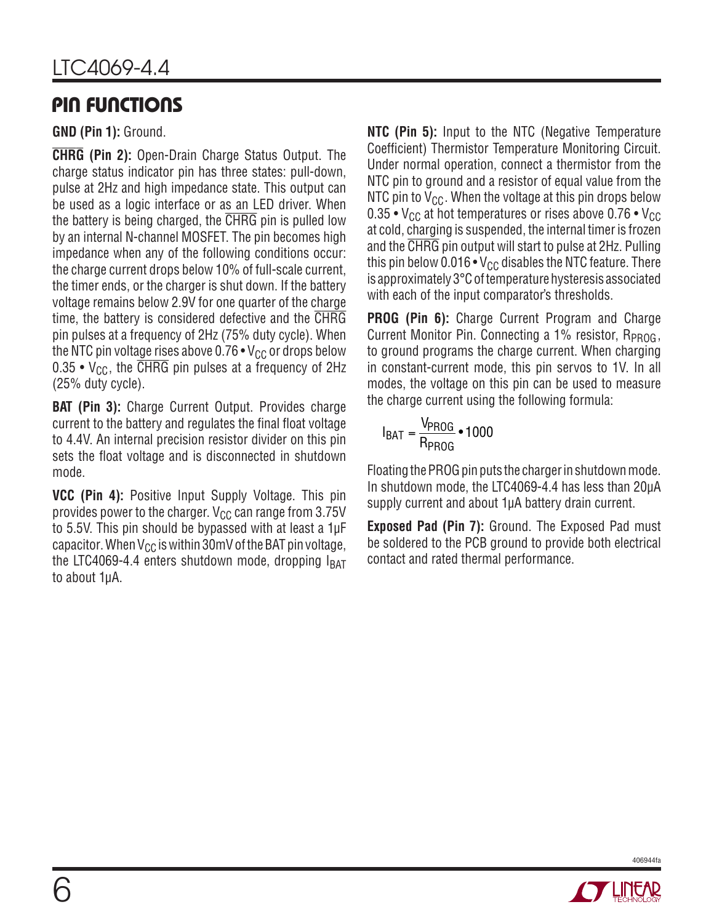## **PIN FUNCTIONS**

**GND (Pin 1):** Ground.

**CHRG (Pin 2):** Open-Drain Charge Status Output. The charge status indicator pin has three states: pull-down, pulse at 2Hz and high impedance state. This output can be used as a logic interface or as an LED driver. When the battery is being charged, the CHRG pin is pulled low by an internal N-channel MOSFET. The pin becomes high impedance when any of the following conditions occur: the charge current drops below 10% of full-scale current, the timer ends, or the charger is shut down. If the battery voltage remains below 2.9V for one quarter of the charge time, the battery is considered defective and the CHRG pin pulses at a frequency of 2Hz (75% duty cycle). When the NTC pin voltage rises above  $0.76 \cdot V_{CC}$  or drops below 0.35 •  $V_{CC}$ , the CHRG pin pulses at a frequency of 2Hz (25% duty cycle).

**BAT (Pin 3):** Charge Current Output. Provides charge current to the battery and regulates the final float voltage to 4.4V. An internal precision resistor divider on this pin sets the float voltage and is disconnected in shutdown mode.

**VCC (Pin 4):** Positive Input Supply Voltage. This pin provides power to the charger.  $V_{CC}$  can range from 3.75V to 5.5V. This pin should be bypassed with at least a 1μF capacitor. When  $V_{CC}$  is within 30mV of the BAT pin voltage, the LTC4069-4.4 enters shutdown mode, dropping  $I_{BAT}$ to about 1μA.

**NTC (Pin 5):** Input to the NTC (Negative Temperature Coefficient) Thermistor Temperature Monitoring Circuit. Under normal operation, connect a thermistor from the NTC pin to ground and a resistor of equal value from the NTC pin to  $V_{CC}$ . When the voltage at this pin drops below 0.35 •  $V_{CC}$  at hot temperatures or rises above 0.76 •  $V_{CC}$ at cold, charging is suspended, the internal timer is frozen and the CHRG pin output will start to pulse at 2Hz. Pulling this pin below 0.016  $\cdot$  V<sub>CC</sub> disables the NTC feature. There is approximately 3°C of temperature hysteresis associated with each of the input comparator's thresholds.

**PROG (Pin 6):** Charge Current Program and Charge Current Monitor Pin. Connecting a  $1\%$  resistor, R<sub>PROG</sub>, to ground programs the charge current. When charging in constant-current mode, this pin servos to 1V. In all modes, the voltage on this pin can be used to measure the charge current using the following formula:

$$
I_{BAT} = \frac{V_{PROG}}{R_{PROG}} \cdot 1000
$$

Floating the PROG pin puts the charger in shutdown mode. In shutdown mode, the LTC4069-4.4 has less than 20μA supply current and about 1μA battery drain current.

**Exposed Pad (Pin 7):** Ground. The Exposed Pad must be soldered to the PCB ground to provide both electrical contact and rated thermal performance.



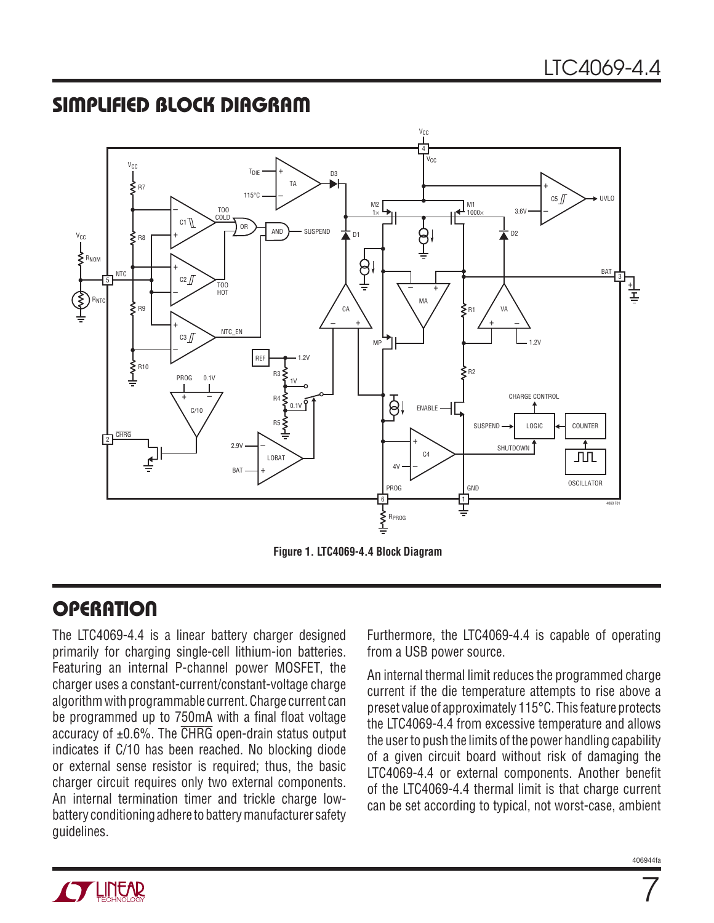## **SIMPLIFIED BLOCK DIAGRAM**



**Figure 1. LTC4069-4.4 Block Diagram**

## **OPERATION**

The LTC4069-4.4 is a linear battery charger designed primarily for charging single-cell lithium-ion batteries. Featuring an internal P-channel power MOSFET, the charger uses a constant-current/constant-voltage charge algorithm with programmable current. Charge current can be programmed up to 750mA with a final float voltage accuracy of ±0.6%. The CHRG open-drain status output indicates if C/10 has been reached. No blocking diode or external sense resistor is required; thus, the basic charger circuit requires only two external components. An internal termination timer and trickle charge lowbattery conditioning adhere to battery manufacturer safety guidelines.

Furthermore, the LTC4069-4.4 is capable of operating from a USB power source.

An internal thermal limit reduces the programmed charge current if the die temperature attempts to rise above a preset value of approximately 115°C. This feature protects the LTC4069-4.4 from excessive temperature and allows the user to push the limits of the power handling capability of a given circuit board without risk of damaging the LTC4069-4.4 or external components. Another benefit of the LTC4069-4.4 thermal limit is that charge current can be set according to typical, not worst-case, ambient



7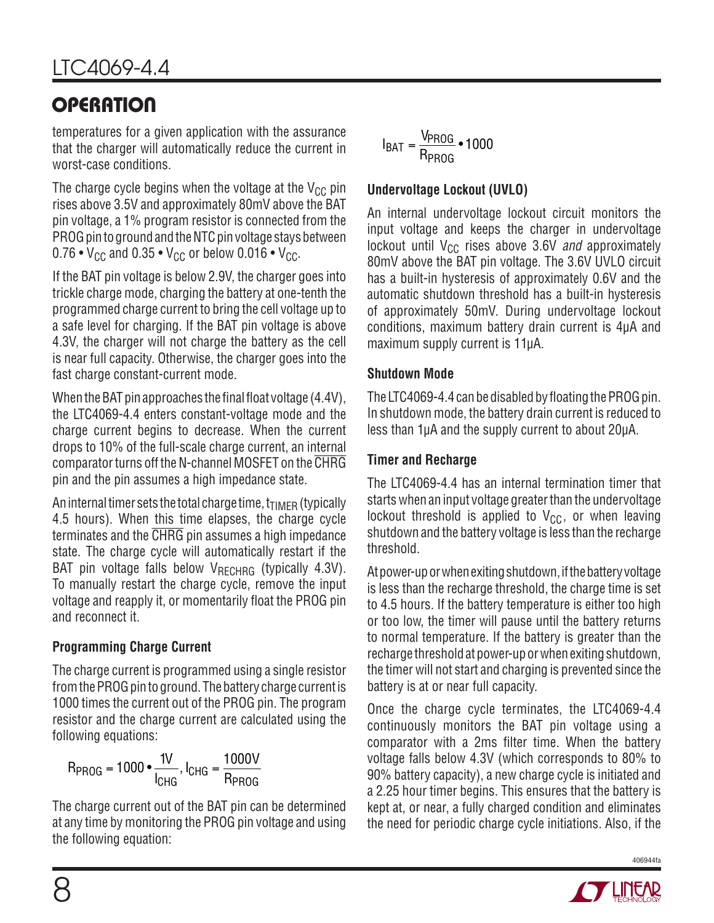temperatures for a given application with the assurance that the charger will automatically reduce the current in worst-case conditions.

The charge cycle begins when the voltage at the  $V_{CC}$  pin rises above 3.5V and approximately 80mV above the BAT pin voltage, a 1% program resistor is connected from the PROG pin to ground and the NTC pin voltage stays between  $0.76 \cdot V_{CC}$  and  $0.35 \cdot V_{CC}$  or below  $0.016 \cdot V_{CC}$ .

If the BAT pin voltage is below 2.9V, the charger goes into trickle charge mode, charging the battery at one-tenth the programmed charge current to bring the cell voltage up to a safe level for charging. If the BAT pin voltage is above 4.3V, the charger will not charge the battery as the cell is near full capacity. Otherwise, the charger goes into the fast charge constant-current mode.

When the BAT pin approaches the final float voltage  $(4.4V)$ , the LTC4069-4.4 enters constant-voltage mode and the charge current begins to decrease. When the current drops to 10% of the full-scale charge current, an internal comparator turns off the N-channel MOSFET on the CHRG pin and the pin assumes a high impedance state.

An internal timer sets the total charge time,  $t_{\text{TIMER}}$  (typically 4.5 hours). When this time elapses, the charge cycle terminates and the CHRG pin assumes a high impedance state. The charge cycle will automatically restart if the BAT pin voltage falls below  $V_{RECHRG}$  (typically 4.3V). To manually restart the charge cycle, remove the input voltage and reapply it, or momentarily float the PROG pin and reconnect it.

### **Programming Charge Current**

The charge current is programmed using a single resistor from the PROG pin to ground. The battery charge current is 1000 times the current out of the PROG pin. The program resistor and the charge current are calculated using the following equations:

$$
R_{PROG} = 1000 \cdot \frac{1V}{I_{CHG}}, I_{CHG} = \frac{1000V}{R_{PROG}}
$$

The charge current out of the BAT pin can be determined at any time by monitoring the PROG pin voltage and using the following equation:

$$
I_{BAT} = \frac{V_{PROG}}{R_{PROG}} \cdot 1000
$$

#### **Undervoltage Lockout (UVLO)**

An internal undervoltage lockout circuit monitors the input voltage and keeps the charger in undervoltage lockout until  $V_{CC}$  rises above 3.6V and approximately 80mV above the BAT pin voltage. The 3.6V UVLO circuit has a built-in hysteresis of approximately 0.6V and the automatic shutdown threshold has a built-in hysteresis of approximately 50mV. During undervoltage lockout conditions, maximum battery drain current is 4μA and maximum supply current is 11μA.

#### **Shutdown Mode**

The LTC4069-4.4 can be disabled by floating the PROG pin. In shutdown mode, the battery drain current is reduced to less than 1μA and the supply current to about 20μA.

#### **Timer and Recharge**

The LTC4069-4.4 has an internal termination timer that starts when an input voltage greater than the undervoltage lockout threshold is applied to  $V_{CC}$ , or when leaving shutdown and the battery voltage is less than the recharge threshold.

At power-up or when exiting shutdown, if the battery voltage is less than the recharge threshold, the charge time is set to 4.5 hours. If the battery temperature is either too high or too low, the timer will pause until the battery returns to normal temperature. If the battery is greater than the recharge threshold at power-up or when exiting shutdown, the timer will not start and charging is prevented since the battery is at or near full capacity.

Once the charge cycle terminates, the LTC4069-4.4 continuously monitors the BAT pin voltage using a comparator with a 2ms filter time. When the battery voltage falls below 4.3V (which corresponds to 80% to 90% battery capacity), a new charge cycle is initiated and a 2.25 hour timer begins. This ensures that the battery is kept at, or near, a fully charged condition and eliminates the need for periodic charge cycle initiations. Also, if the

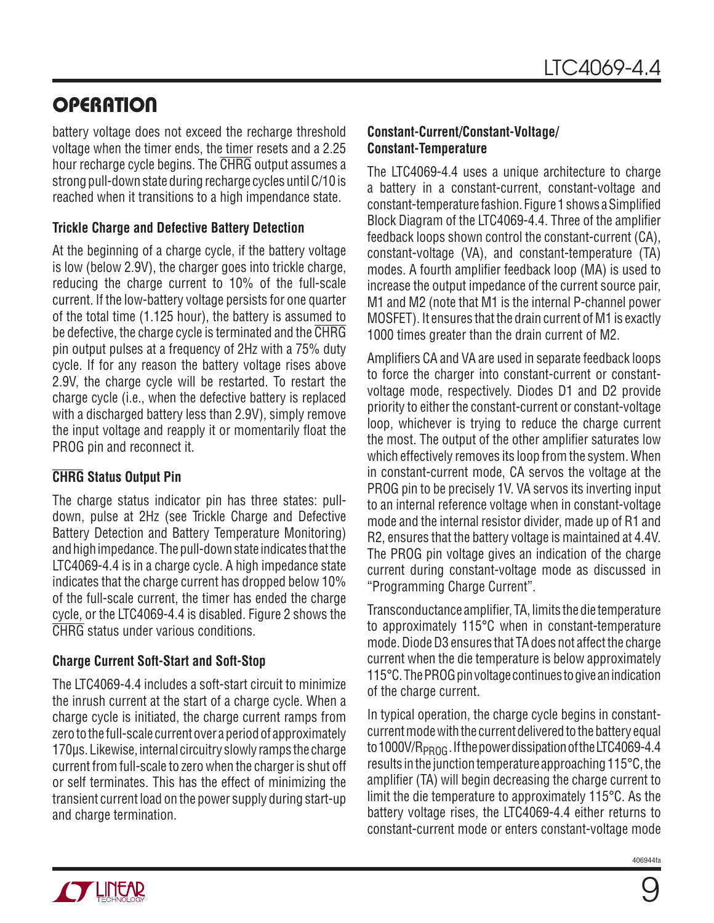battery voltage does not exceed the recharge threshold voltage when the timer ends, the timer resets and a 2.25 hour recharge cycle begins. The CHRG output assumes a strong pull-down state during recharge cycles until C/10 is reached when it transitions to a high impendance state.

#### **Trickle Charge and Defective Battery Detection**

At the beginning of a charge cycle, if the battery voltage is low (below 2.9V), the charger goes into trickle charge, reducing the charge current to 10% of the full-scale current. If the low-battery voltage persists for one quarter of the total time (1.125 hour), the battery is assumed to be defective, the charge cycle is terminated and the CHRG pin output pulses at a frequency of 2Hz with a 75% duty cycle. If for any reason the battery voltage rises above 2.9V, the charge cycle will be restarted. To restart the charge cycle (i.e., when the defective battery is replaced with a discharged battery less than 2.9V), simply remove the input voltage and reapply it or momentarily float the PROG pin and reconnect it.

#### **CHRG Status Output Pin**

The charge status indicator pin has three states: pulldown, pulse at 2Hz (see Trickle Charge and Defective Battery Detection and Battery Temperature Monitoring) and high impedance. The pull-down state indicates that the LTC4069-4.4 is in a charge cycle. A high impedance state indicates that the charge current has dropped below 10% of the full-scale current, the timer has ended the charge cycle, or the LTC4069-4.4 is disabled. Figure 2 shows the CHRG status under various conditions.

#### **Charge Current Soft-Start and Soft-Stop**

The LTC4069-4.4 includes a soft-start circuit to minimize the inrush current at the start of a charge cycle. When a charge cycle is initiated, the charge current ramps from zero to the full-scale current over a period of approximately 170μs. Likewise, internal circuitry slowly ramps the charge current from full-scale to zero when the charger is shut off or self terminates. This has the effect of minimizing the transient current load on the power supply during start-up and charge termination.

#### **Constant-Current/Constant-Voltage/ Constant-Temperature**

The LTC4069-4.4 uses a unique architecture to charge a battery in a constant-current, constant-voltage and constant-temperature fashion. Figure 1 shows a Simplified Block Diagram of the LTC4069-4.4. Three of the amplifier feedback loops shown control the constant-current (CA), constant-voltage (VA), and constant-temperature (TA) modes. A fourth amplifier feedback loop (MA) is used to increase the output impedance of the current source pair, M1 and M2 (note that M1 is the internal P-channel power MOSFET). It ensures that the drain current of M1 is exactly 1000 times greater than the drain current of M2.

Amplifiers CA and VA are used in separate feedback loops to force the charger into constant-current or constantvoltage mode, respectively. Diodes D1 and D2 provide priority to either the constant-current or constant-voltage loop, whichever is trying to reduce the charge current the most. The output of the other amplifier saturates low which effectively removes its loop from the system. When in constant-current mode, CA servos the voltage at the PROG pin to be precisely 1V. VA servos its inverting input to an internal reference voltage when in constant-voltage mode and the internal resistor divider, made up of R1 and R2, ensures that the battery voltage is maintained at 4.4V. The PROG pin voltage gives an indication of the charge current during constant-voltage mode as discussed in "Programming Charge Current".

Transconductance amplifier, TA, limits the die temperature to approximately 115°C when in constant-temperature mode. Diode D3 ensures that TA does not affect the charge current when the die temperature is below approximately 115°C. The PROG pin voltage continues to give an indication of the charge current.

In typical operation, the charge cycle begins in constantcurrent mode with the current delivered to the battery equal to 1000V/R<sub>PROG</sub>. If the power dissipation of the LTC4069-4.4 results in the junction temperature approaching 115°C, the amplifier (TA) will begin decreasing the charge current to limit the die temperature to approximately 115°C. As the battery voltage rises, the LTC4069-4.4 either returns to constant-current mode or enters constant-voltage mode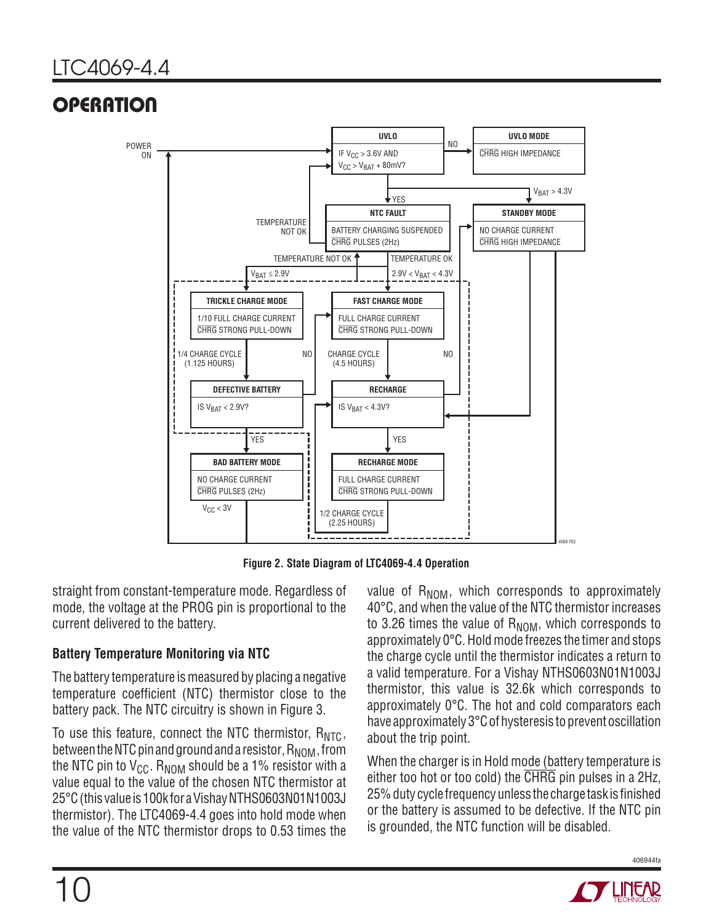

**Figure 2. State Diagram of LTC4069-4.4 Operation**

straight from constant-temperature mode. Regardless of mode, the voltage at the PROG pin is proportional to the current delivered to the battery.

#### **Battery Temperature Monitoring via NTC**

The battery temperature is measured by placing a negative temperature coefficient (NTC) thermistor close to the battery pack. The NTC circuitry is shown in Figure 3.

To use this feature, connect the NTC thermistor,  $R_{NTC}$ , between the NTC pin and ground and a resistor,  $R_{\text{NOM}}$ , from the NTC pin to  $V_{CG}$ . R<sub>NOM</sub> should be a 1% resistor with a value equal to the value of the chosen NTC thermistor at 25°C (this value is 100k for a Vishay NTHS0603N01N1003J thermistor). The LTC4069-4.4 goes into hold mode when the value of the NTC thermistor drops to 0.53 times the value of  $R_{NOM}$ , which corresponds to approximately 40°C, and when the value of the NTC thermistor increases to 3.26 times the value of  $R_{\text{NOM}}$ , which corresponds to approximately 0°C. Hold mode freezes the timer and stops the charge cycle until the thermistor indicates a return to a valid temperature. For a Vishay NTHS0603N01N1003J thermistor, this value is 32.6k which corresponds to approximately 0°C. The hot and cold comparators each have approximately 3°C of hysteresis to prevent oscillation about the trip point.

When the charger is in Hold mode (battery temperature is either too hot or too cold) the CHRG pin pulses in a 2Hz, 25% duty cycle frequency unless the charge task is finished or the battery is assumed to be defective. If the NTC pin is grounded, the NTC function will be disabled.

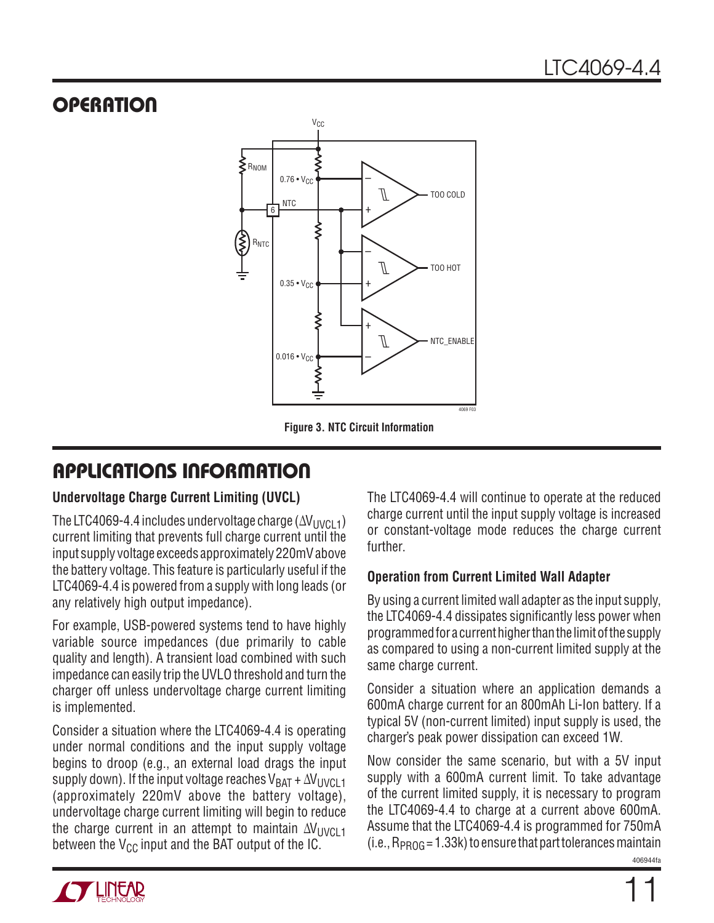

**Figure 3. NTC Circuit Information**

## **APPLICATIONS INFORMATION**

#### **Undervoltage Charge Current Limiting (UVCL)**

The LTC4069-4.4 includes undervoltage charge  $(\Delta V_{UVCL1})$ current limiting that prevents full charge current until the input supply voltage exceeds approximately 220mV above the battery voltage. This feature is particularly useful if the LTC4069-4.4 is powered from a supply with long leads (or any relatively high output impedance).

For example, USB-powered systems tend to have highly variable source impedances (due primarily to cable quality and length). A transient load combined with such impedance can easily trip the UVLO threshold and turn the charger off unless undervoltage charge current limiting is implemented.

Consider a situation where the LTC4069-4.4 is operating under normal conditions and the input supply voltage begins to droop (e.g., an external load drags the input supply down). If the input voltage reaches  $V_{BAT} + \Delta V_{UVCL1}$ (approximately 220mV above the battery voltage), undervoltage charge current limiting will begin to reduce the charge current in an attempt to maintain  $\Delta V_{UVCL1}$ between the  $V_{CC}$  input and the BAT output of the IC.

The LTC4069-4.4 will continue to operate at the reduced charge current until the input supply voltage is increased or constant-voltage mode reduces the charge current further.

#### **Operation from Current Limited Wall Adapter**

By using a current limited wall adapter as the input supply, the LTC4069-4.4 dissipates significantly less power when programmed for a current higher than the limit of the supply as compared to using a non-current limited supply at the same charge current.

Consider a situation where an application demands a 600mA charge current for an 800mAh Li-Ion battery. If a typical 5V (non-current limited) input supply is used, the charger's peak power dissipation can exceed 1W.

406944fa Now consider the same scenario, but with a 5V input supply with a 600mA current limit. To take advantage of the current limited supply, it is necessary to program the LTC4069-4.4 to charge at a current above 600mA. Assume that the LTC4069-4.4 is programmed for 750mA  $(i.e., R<sub>PROG</sub> = 1.33k)$  to ensure that part tolerances maintain

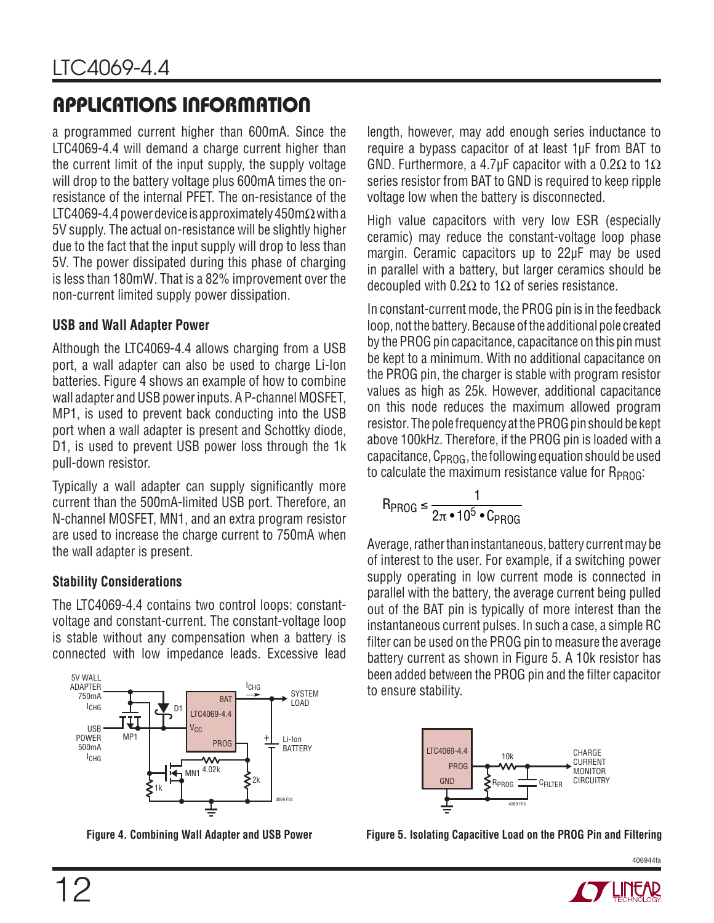## **APPLICATIONS INFORMATION**

a programmed current higher than 600mA. Since the LTC4069-4.4 will demand a charge current higher than the current limit of the input supply, the supply voltage will drop to the battery voltage plus 600mA times the onresistance of the internal PFET. The on-resistance of the LTC4069-4.4 power device is approximately 450m $\Omega$  with a 5V supply. The actual on-resistance will be slightly higher due to the fact that the input supply will drop to less than 5V. The power dissipated during this phase of charging is less than 180mW. That is a 82% improvement over the non-current limited supply power dissipation.

#### **USB and Wall Adapter Power**

Although the LTC4069-4.4 allows charging from a USB port, a wall adapter can also be used to charge Li-Ion batteries. Figure 4 shows an example of how to combine wall adapter and USB power inputs. A P-channel MOSFET, MP1, is used to prevent back conducting into the USB port when a wall adapter is present and Schottky diode, D1, is used to prevent USB power loss through the 1k pull-down resistor.

Typically a wall adapter can supply significantly more current than the 500mA-limited USB port. Therefore, an N-channel MOSFET, MN1, and an extra program resistor are used to increase the charge current to 750mA when the wall adapter is present.

### **Stability Considerations**

The LTC4069-4.4 contains two control loops: constantvoltage and constant-current. The constant-voltage loop is stable without any compensation when a battery is connected with low impedance leads. Excessive lead



length, however, may add enough series inductance to require a bypass capacitor of at least 1μF from BAT to GND. Furthermore, a 4.7µF capacitor with a 0.2 $\Omega$  to 1 $\Omega$ series resistor from BAT to GND is required to keep ripple voltage low when the battery is disconnected.

High value capacitors with very low ESR (especially ceramic) may reduce the constant-voltage loop phase margin. Ceramic capacitors up to 22μF may be used in parallel with a battery, but larger ceramics should be decoupled with 0.2Ω to 1Ω of series resistance.

In constant-current mode, the PROG pin is in the feedback loop, not the battery. Because of the additional pole created by the PROG pin capacitance, capacitance on this pin must be kept to a minimum. With no additional capacitance on the PROG pin, the charger is stable with program resistor values as high as 25k. However, additional capacitance on this node reduces the maximum allowed program resistor. The pole frequency at the PROG pin should be kept above 100kHz. Therefore, if the PROG pin is loaded with a capacitance,  $C_{PROG}$ , the following equation should be used to calculate the maximum resistance value for  $R_{PROG}$ :

$$
R_{PROG} \leq \frac{1}{2\pi \cdot 10^5 \cdot C_{PROG}}
$$

Average, rather than instantaneous, battery current may be of interest to the user. For example, if a switching power supply operating in low current mode is connected in parallel with the battery, the average current being pulled out of the BAT pin is typically of more interest than the instantaneous current pulses. In such a case, a simple RC filter can be used on the PROG pin to measure the average battery current as shown in Figure 5. A 10k resistor has been added between the PROG pin and the filter capacitor to ensure stability.



**Figure 4. Combining Wall Adapter and USB Power Figure 5. Isolating Capacitive Load on the PROG Pin and Filtering**

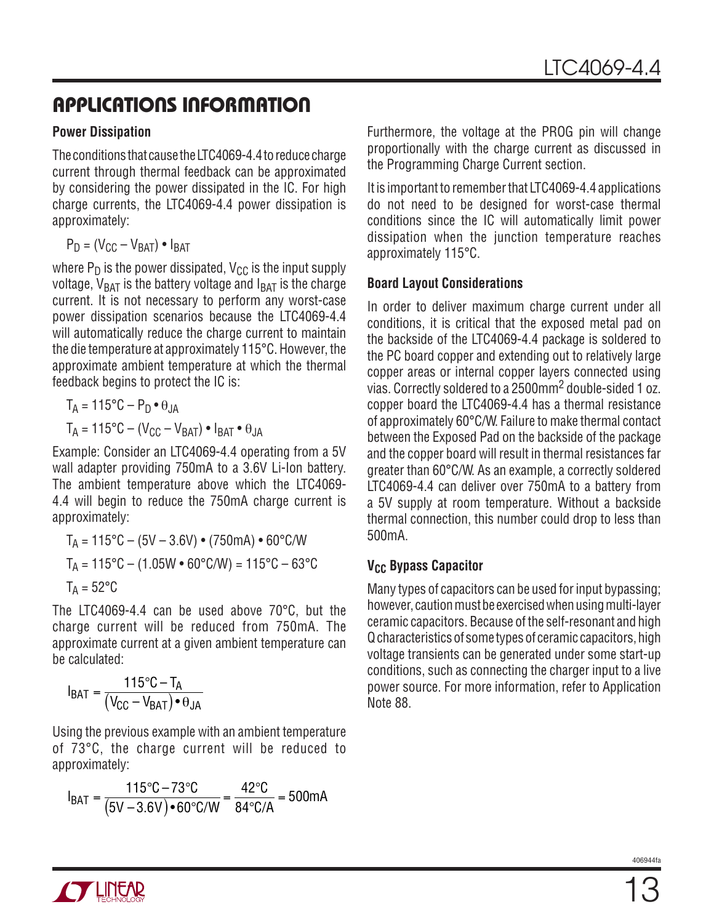## **APPLICATIONS INFORMATION**

#### **Power Dissipation**

The conditions that cause the LTC4069-4.4 to reduce charge current through thermal feedback can be approximated by considering the power dissipated in the IC. For high charge currents, the LTC4069-4.4 power dissipation is approximately:

$$
P_D = (V_{CC} - V_{BAT}) \bullet I_{BAT}
$$

where  $P_D$  is the power dissipated,  $V_{CC}$  is the input supply voltage,  $V_{BAT}$  is the battery voltage and  $I_{BAT}$  is the charge current. It is not necessary to perform any worst-case power dissipation scenarios because the LTC4069-4.4 will automatically reduce the charge current to maintain the die temperature at approximately 115°C. However, the approximate ambient temperature at which the thermal feedback begins to protect the IC is:

$$
T_A = 115^{\circ}\text{C} - \text{P}_\text{D} \cdot \text{\theta}_{JA}
$$

$$
T_A = 115^{\circ}\text{C} - (\text{V}_{\text{CC}} - \text{V}_{\text{BAT}}) \cdot \text{I}_{\text{BAT}} \cdot \text{\theta}_{JA}
$$

Example: Consider an LTC4069-4.4 operating from a 5V wall adapter providing 750mA to a 3.6V Li-Ion battery. The ambient temperature above which the LTC4069- 4.4 will begin to reduce the 750mA charge current is approximately:

$$
T_A = 115^{\circ}\text{C} - (5\text{V} - 3.6\text{V}) \cdot (750\text{mA}) \cdot 60^{\circ}\text{C/W}
$$
  
\n
$$
T_A = 115^{\circ}\text{C} - (1.05\text{W} \cdot 60^{\circ}\text{C/W}) = 115^{\circ}\text{C} - 63^{\circ}\text{C}
$$
  
\n
$$
T_A = 52^{\circ}\text{C}
$$

The LTC4069-4.4 can be used above 70°C, but the charge current will be reduced from 750mA. The approximate current at a given ambient temperature can be calculated:

$$
I_{BAT} = \frac{115^{\circ}C - T_A}{(V_{CC} - V_{BAT}) \cdot \theta_{JA}}
$$

Using the previous example with an ambient temperature of 73°C, the charge current will be reduced to approximately:

$$
I_{BAT} = \frac{115^{\circ}C - 73^{\circ}C}{(5V - 3.6V) \cdot 60^{\circ}C/W} = \frac{42^{\circ}C}{84^{\circ}C/A} = 500mA
$$

Furthermore, the voltage at the PROG pin will change proportionally with the charge current as discussed in the Programming Charge Current section.

It is important to remember that LTC4069-4.4 applications do not need to be designed for worst-case thermal conditions since the IC will automatically limit power dissipation when the junction temperature reaches approximately 115°C.

#### **Board Layout Considerations**

In order to deliver maximum charge current under all conditions, it is critical that the exposed metal pad on the backside of the LTC4069-4.4 package is soldered to the PC board copper and extending out to relatively large copper areas or internal copper layers connected using vias. Correctly soldered to a 2500mm2 double-sided 1 oz. copper board the LTC4069-4.4 has a thermal resistance of approximately 60°C/W. Failure to make thermal contact between the Exposed Pad on the backside of the package and the copper board will result in thermal resistances far greater than 60°C/W. As an example, a correctly soldered LTC4069-4.4 can deliver over 750mA to a battery from a 5V supply at room temperature. Without a backside thermal connection, this number could drop to less than 500mA.

#### **V<sub>CC</sub> Bypass Capacitor**

Many types of capacitors can be used for input bypassing; however, caution must be exercised when using multi-layer ceramic capacitors. Because of the self-resonant and high Q characteristics of some types of ceramic capacitors, high voltage transients can be generated under some start-up conditions, such as connecting the charger input to a live power source. For more information, refer to Application Note 88.



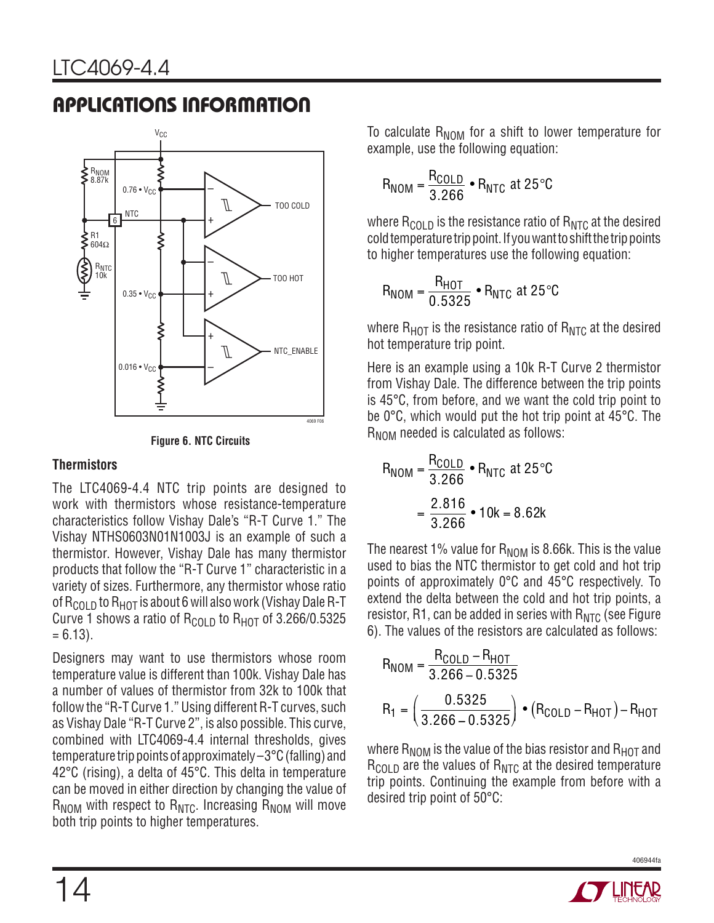## **APPLICATIONS INFORMATION**





#### **Thermistors**

The LTC4069-4.4 NTC trip points are designed to work with thermistors whose resistance-temperature characteristics follow Vishay Dale's "R-T Curve 1." The Vishay NTHS0603N01N1003J is an example of such a thermistor. However, Vishay Dale has many thermistor products that follow the "R-T Curve 1" characteristic in a variety of sizes. Furthermore, any thermistor whose ratio of  $R_{CO1D}$  to  $R_{HOT}$  is about 6 will also work (Vishay Dale R-T Curve 1 shows a ratio of  $R_{\text{COLD}}$  to  $R_{\text{HOT}}$  of 3.266/0.5325  $= 6.13$ ).

Designers may want to use thermistors whose room temperature value is different than 100k. Vishay Dale has a number of values of thermistor from 32k to 100k that follow the "R-T Curve 1." Using different R-T curves, such as Vishay Dale "R-T Curve 2", is also possible. This curve, combined with LTC4069-4.4 internal thresholds, gives temperature trip points of approximately –3°C (falling) and 42°C (rising), a delta of 45°C. This delta in temperature can be moved in either direction by changing the value of  $R_{NOM}$  with respect to  $R_{NTC}$ . Increasing  $R_{NOM}$  will move both trip points to higher temperatures.

To calculate  $R_{\text{NOM}}$  for a shift to lower temperature for example, use the following equation:

$$
R_{NOM} = \frac{R_{COLD}}{3.266} \cdot R_{NTC} \text{ at } 25^{\circ}\text{C}
$$

where  $R_{\text{COLD}}$  is the resistance ratio of  $R_{\text{NTC}}$  at the desired cold temperature trip point. If you want to shift the trip points to higher temperatures use the following equation:

$$
R_{\text{NOM}} = \frac{R_{\text{HOT}}}{0.5325} \cdot R_{\text{NTC}} \text{ at } 25^{\circ}\text{C}
$$

where  $R_{HOT}$  is the resistance ratio of  $R_{NTC}$  at the desired hot temperature trip point.

Here is an example using a 10k R-T Curve 2 thermistor from Vishay Dale. The difference between the trip points is 45°C, from before, and we want the cold trip point to be 0°C, which would put the hot trip point at 45°C. The R<sub>NOM</sub> needed is calculated as follows:

$$
R_{NOM} = \frac{R_{COLD}}{3.266} \cdot R_{NTC} \text{ at } 25^{\circ}\text{C}
$$

$$
= \frac{2.816}{3.266} \cdot 10k = 8.62k
$$

The nearest 1% value for  $R_{\text{NOM}}$  is 8.66k. This is the value used to bias the NTC thermistor to get cold and hot trip points of approximately 0°C and 45°C respectively. To extend the delta between the cold and hot trip points, a resistor, R1, can be added in series with  $R_{NTC}$  (see Figure 6). The values of the resistors are calculated as follows:

$$
R_{NOM} = \frac{R_{COLD} - R_{HOT}}{3.266 - 0.5325}
$$
  

$$
R_1 = \left(\frac{0.5325}{3.266 - 0.5325}\right) \cdot (R_{COLD} - R_{HOT}) - R_{HOT}
$$

where  $R_{\text{NOM}}$  is the value of the bias resistor and  $R_{\text{HOT}}$  and  $R_{\text{COLD}}$  are the values of  $R_{\text{NTC}}$  at the desired temperature trip points. Continuing the example from before with a desired trip point of 50°C:



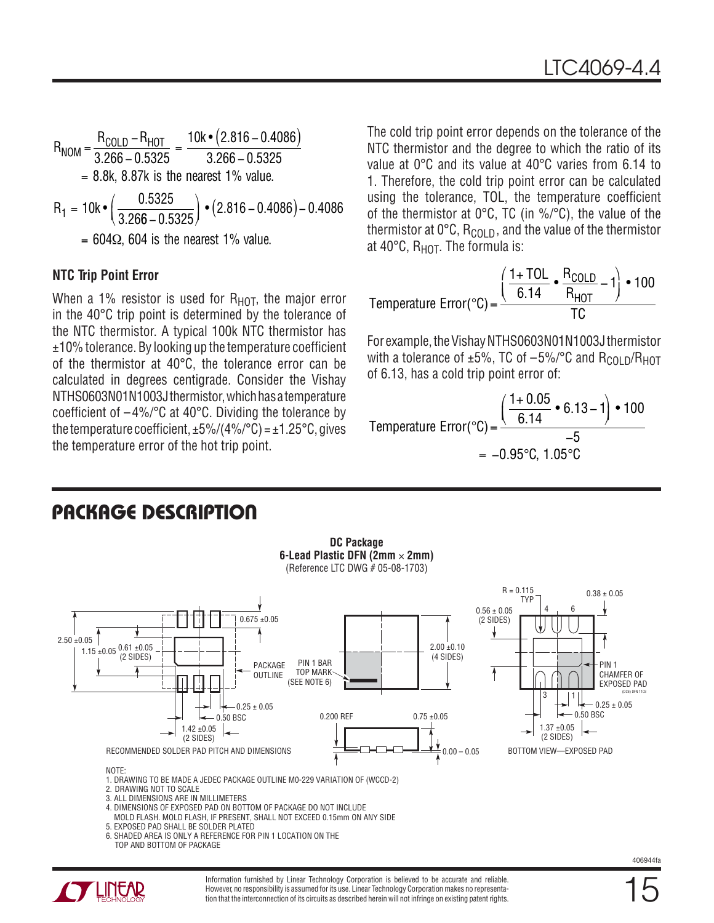$$
R_{NOM} = \frac{R_{COLD} - R_{HOT}}{3.266 - 0.5325} = \frac{10k \cdot (2.816 - 0.4086)}{3.266 - 0.5325}
$$
  
= 8.8k, 8.87k is the nearest 1% value.  

$$
R_1 = 10k \cdot \left(\frac{0.5325}{3.266 - 0.5325}\right) \cdot (2.816 - 0.4086) - 0.4086
$$
  
= 604 $\Omega$ , 604 is the nearest 1% value.

#### **NTC Trip Point Error**

When a 1% resistor is used for  $R_{HOT}$ , the major error in the 40°C trip point is determined by the tolerance of the NTC thermistor. A typical 100k NTC thermistor has  $±10%$  tolerance. By looking up the temperature coefficient of the thermistor at 40°C, the tolerance error can be calculated in degrees centigrade. Consider the Vishay NTHS0603N01N1003J thermistor, which has a temperature coefficient of  $-4\%/°C$  at 40°C. Dividing the tolerance by the temperature coefficient,  $\pm 5\%/4\%/^{\circ}C) = \pm 1.25\degree C$ , gives the temperature error of the hot trip point.

The cold trip point error depends on the tolerance of the NTC thermistor and the degree to which the ratio of its value at 0°C and its value at 40°C varies from 6.14 to 1. Therefore, the cold trip point error can be calculated using the tolerance, TOL, the temperature coefficient of the thermistor at 0°C, TC (in %/°C), the value of the thermistor at  $0^{\circ}$ C, R<sub>COLD</sub>, and the value of the thermistor at 40 $^{\circ}$ C, R<sub>HOT</sub>. The formula is:

Temperature Error
$$
(°C)
$$
 =  $\frac{\left(\frac{1+TOL}{6.14} \cdot \frac{R_{COLD}}{R_{HOT}} - 1\right) \cdot 100}{TC}$ 

For example, the Vishay NTHS0603N01N1003J thermistor with a tolerance of  $\pm 5\%$ , TC of  $-5\%$ /°C and R<sub>COLD</sub>/R<sub>HOT</sub> of 6.13, has a cold trip point error of:

Temperature Error<sup>°</sup>C) = 
$$
\frac{\left(\frac{1+0.05}{6.14} \cdot 6.13 - 1\right) \cdot 100}{-5}
$$
  
= -0.95°C, 1.05°C

## **PACKAGE DESCRIPTION**



Information furnished by Linear Technology Corporation is believed to be accurate and reliable. However, no responsibility is assumed for its use. Linear Technology Corporation makes no representation that the interconnection of its circuits as described herein will not infringe on existing patent rights.